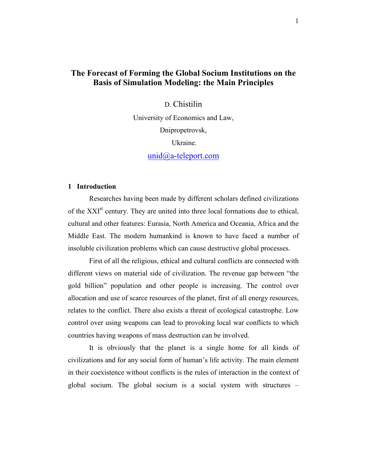# **The Forecast of Forming the Global Socium Institutions on the Basis of Simulation Modeling: the Main Principles**

D. Chistilin

University of Economics and Law, Dnipropetrovsk, Ukraine. unid@a-teleport.com

## **1 Introduction**

Researches having been made by different scholars defined civilizations of the XXI<sup>st</sup> century. They are united into three local formations due to ethical, cultural and other features: Eurasia, North America and Oceania, Africa and the Middle East. The modern humankind is known to have faced a number of insoluble civilization problems which can cause destructive global processes.

First of all the religious, ethical and cultural conflicts are connected with different views on material side of civilization. The revenue gap between "the gold billion" population and other people is increasing. The control over allocation and use of scarce resources of the planet, first of all energy resources, relates to the conflict. There also exists a threat of ecological catastrophe. Low control over using weapons can lead to provoking local war conflicts to which countries having weapons of mass destruction can be involved.

It is obviously that the planet is a single home for all kinds of civilizations and for any social form of human's life activity. The main element in their coexistence without conflicts is the rules of interaction in the context of global socium. The global socium is a social system with structures –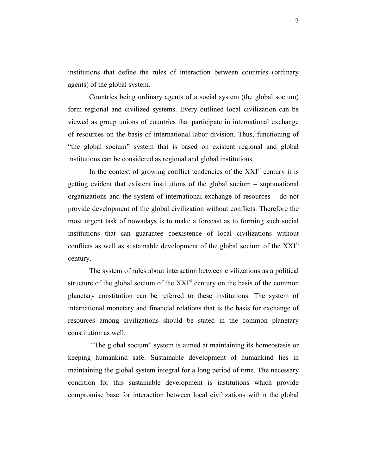institutions that define the rules of interaction between countries (ordinary agents) of the global system.

Countries being ordinary agents of a social system (the global socium) form regional and civilized systems. Every outlined local civilization can be viewed as group unions of countries that participate in international exchange of resources on the basis of international labor division. Thus, functioning of "the global socium" system that is based on existent regional and global institutions can be considered as regional and global institutions.

In the context of growing conflict tendencies of the  $XXI<sup>st</sup>$  century it is getting evident that existent institutions of the global socium – supranational organizations and the system of international exchange of resources – do not provide development of the global civilization without conflicts. Therefore the most urgent task of nowadays is to make a forecast as to forming such social institutions that can guarantee coexistence of local civilizations without conflicts as well as sustainable development of the global socium of the XXI<sup>st</sup> century.

The system of rules about interaction between civilizations as a political structure of the global socium of the  $XXI<sup>st</sup>$  century on the basis of the common planetary constitution can be referred to these institutions. The system of international monetary and financial relations that is the basis for exchange of resources among civilizations should be stated in the common planetary constitution as well.

 "The global socium" system is aimed at maintaining its homeostasis or keeping humankind safe. Sustainable development of humankind lies in maintaining the global system integral for a long period of time. The necessary condition for this sustainable development is institutions which provide compromise base for interaction between local civilizations within the global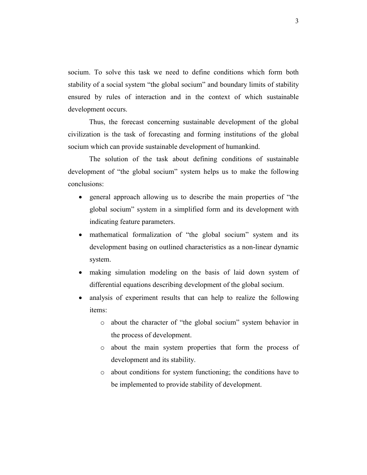socium. To solve this task we need to define conditions which form both stability of a social system "the global socium" and boundary limits of stability ensured by rules of interaction and in the context of which sustainable development occurs.

Thus, the forecast concerning sustainable development of the global civilization is the task of forecasting and forming institutions of the global socium which can provide sustainable development of humankind.

The solution of the task about defining conditions of sustainable development of "the global socium" system helps us to make the following conclusions:

- general approach allowing us to describe the main properties of "the global socium" system in a simplified form and its development with indicating feature parameters.
- mathematical formalization of "the global socium" system and its development basing on outlined characteristics as a non-linear dynamic system.
- making simulation modeling on the basis of laid down system of differential equations describing development of the global socium.
- analysis of experiment results that can help to realize the following items:
	- o about the character of "the global socium" system behavior in the process of development.
	- o about the main system properties that form the process of development and its stability.
	- o about conditions for system functioning; the conditions have to be implemented to provide stability of development.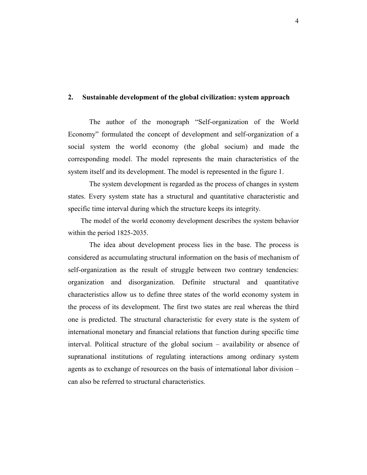# **2. Sustainable development of the global civilization: system approach**

The author of the monograph "Self-organization of the World Economy" formulated the concept of development and self-organization of a social system the world economy (the global socium) and made the corresponding model. The model represents the main characteristics of the system itself and its development. The model is represented in the figure 1.

The system development is regarded as the process of changes in system states. Every system state has a structural and quantitative characteristic and specific time interval during which the structure keeps its integrity.

The model of the world economy development describes the system behavior within the period 1825-2035.

The idea about development process lies in the base. The process is considered as accumulating structural information on the basis of mechanism of self-organization as the result of struggle between two contrary tendencies: organization and disorganization. Definite structural and quantitative characteristics allow us to define three states of the world economy system in the process of its development. The first two states are real whereas the third one is predicted. The structural characteristic for every state is the system of international monetary and financial relations that function during specific time interval. Political structure of the global socium – availability or absence of supranational institutions of regulating interactions among ordinary system agents as to exchange of resources on the basis of international labor division – can also be referred to structural characteristics.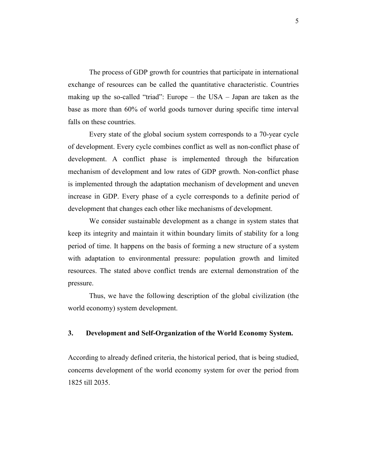The process of GDP growth for countries that participate in international exchange of resources can be called the quantitative characteristic. Countries making up the so-called "triad": Europe – the USA – Japan are taken as the base as more than 60% of world goods turnover during specific time interval falls on these countries.

Every state of the global socium system corresponds to a 70-year cycle of development. Every cycle combines conflict as well as non-conflict phase of development. A conflict phase is implemented through the bifurcation mechanism of development and low rates of GDP growth. Non-conflict phase is implemented through the adaptation mechanism of development and uneven increase in GDP. Every phase of a cycle corresponds to a definite period of development that changes each other like mechanisms of development.

We consider sustainable development as a change in system states that keep its integrity and maintain it within boundary limits of stability for a long period of time. It happens on the basis of forming a new structure of a system with adaptation to environmental pressure: population growth and limited resources. The stated above conflict trends are external demonstration of the pressure.

Thus, we have the following description of the global civilization (the world economy) system development.

# **3. Development and Self-Organization of the World Economy System.**

According to already defined criteria, the historical period, that is being studied, concerns development of the world economy system for over the period from 1825 till 2035.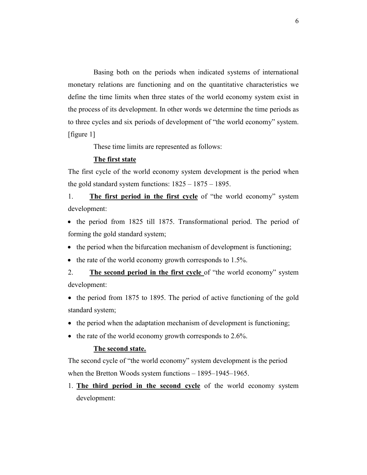Basing both on the periods when indicated systems of international monetary relations are functioning and on the quantitative characteristics we define the time limits when three states of the world economy system exist in the process of its development. In other words we determine the time periods as to three cycles and six periods of development of "the world economy" system. [figure 1]

These time limits are represented as follows:

#### **The first state**

The first cycle of the world economy system development is the period when the gold standard system functions: 1825 – 1875 – 1895.

1. **The first period in the first cycle** of "the world economy" system development:

• the period from 1825 till 1875. Transformational period. The period of forming the gold standard system;

- the period when the bifurcation mechanism of development is functioning;
- the rate of the world economy growth corresponds to 1.5%.

2. **The second period in the first cycle** of "the world economy" system development:

- the period from 1875 to 1895. The period of active functioning of the gold standard system;
- the period when the adaptation mechanism of development is functioning;
- the rate of the world economy growth corresponds to 2.6%.

#### **The second state.**

The second cycle of "the world economy" system development is the period when the Bretton Woods system functions – 1895–1945–1965.

1. **The third period in the second cycle** of the world economy system development: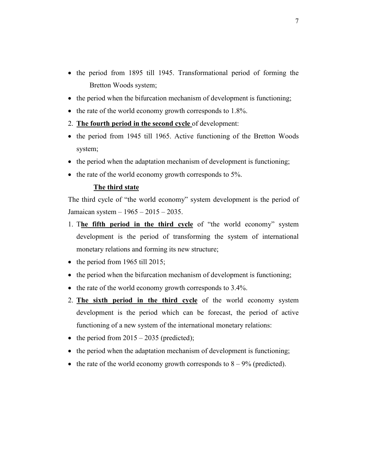- the period from 1895 till 1945. Transformational period of forming the Bretton Woods system;
- the period when the bifurcation mechanism of development is functioning;
- the rate of the world economy growth corresponds to 1.8%.
- 2. **The fourth period in the second cycle** of development:
- the period from 1945 till 1965. Active functioning of the Bretton Woods system;
- the period when the adaptation mechanism of development is functioning;
- the rate of the world economy growth corresponds to 5%.

#### **The third state**

The third cycle of "the world economy" system development is the period of Jamaican system – 1965 – 2015 – 2035.

- 1. T**he fifth period in the third cycle** of "the world economy" system development is the period of transforming the system of international monetary relations and forming its new structure;
- the period from 1965 till 2015;
- the period when the bifurcation mechanism of development is functioning;
- the rate of the world economy growth corresponds to 3.4%.
- 2. **The sixth period in the third cycle** of the world economy system development is the period which can be forecast, the period of active functioning of a new system of the international monetary relations:
- the period from  $2015 2035$  (predicted);
- the period when the adaptation mechanism of development is functioning;
- the rate of the world economy growth corresponds to  $8 9%$  (predicted).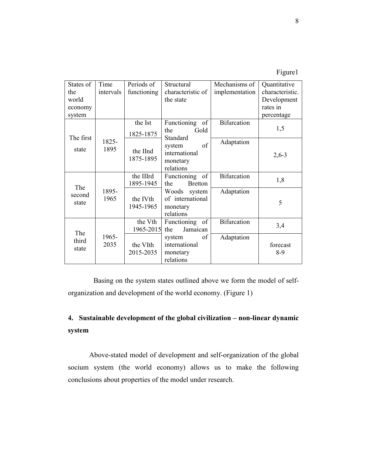| .011F |  |
|-------|--|
|       |  |
|       |  |

| States of | Time      | Periods of           | Structural              | Mechanisms of      | Quantitative    |
|-----------|-----------|----------------------|-------------------------|--------------------|-----------------|
| the       | intervals | functioning          | characteristic of       | implementation     | characteristic. |
| world     |           |                      | the state               |                    | Development     |
| economy   |           |                      |                         |                    | rates in        |
| system    |           |                      |                         |                    | percentage      |
|           |           | the Ist              | Functioning of          | <b>Bifurcation</b> |                 |
| The first |           | 1825-1875            | Gold<br>the<br>Standard |                    | 1,5             |
|           | 1825-     |                      | of<br>system            | Adaptation         |                 |
| state     | 1895      | the IInd             | international           |                    | $2,6-3$         |
|           |           | 1875-1895            | monetary                |                    |                 |
|           |           |                      | relations               |                    |                 |
|           |           | the IIIrd            | Functioning of          | <b>Bifurcation</b> | 1,8             |
| The       |           | 1895-1945            | <b>Bretton</b><br>the   |                    |                 |
| second    | 1895-     |                      | Woods system            | Adaptation         |                 |
| state     | 1965      | the IV <sub>th</sub> | of international        |                    | 5               |
|           |           | 1945-1965            | monetary                |                    |                 |
|           |           |                      | relations               |                    |                 |
|           |           | the Vth              | Functioning of          | <b>Bifurcation</b> | 3,4             |
| The       |           | 1965-2015            | Jamaican<br>the         |                    |                 |
| third     | 1965-     |                      | of<br>system            | Adaptation         |                 |
| state     | 2035      | the VIth             | international           |                    | forecast        |
|           |           | 2015-2035            | monetary                |                    | $8-9$           |
|           |           |                      | relations               |                    |                 |

Basing on the system states outlined above we form the model of selforganization and development of the world economy. (Figure 1)

# **4. Sustainable development of the global civilization – non-linear dynamic system**

Above-stated model of development and self-organization of the global socium system (the world economy) allows us to make the following conclusions about properties of the model under research.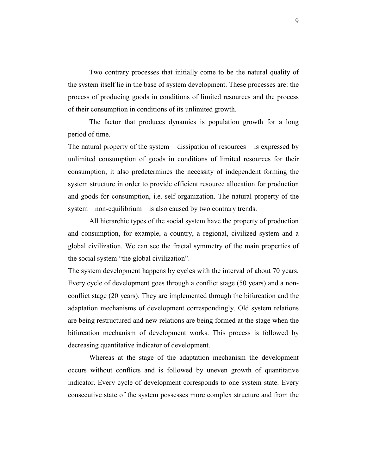Two contrary processes that initially come to be the natural quality of the system itself lie in the base of system development. These processes are: the process of producing goods in conditions of limited resources and the process of their consumption in conditions of its unlimited growth.

The factor that produces dynamics is population growth for a long period of time.

The natural property of the system – dissipation of resources – is expressed by unlimited consumption of goods in conditions of limited resources for their consumption; it also predetermines the necessity of independent forming the system structure in order to provide efficient resource allocation for production and goods for consumption, i.e. self-organization. The natural property of the system – non-equilibrium – is also caused by two contrary trends.

All hierarchic types of the social system have the property of production and consumption, for example, a country, a regional, civilized system and a global civilization. We can see the fractal symmetry of the main properties of the social system "the global civilization".

The system development happens by cycles with the interval of about 70 years. Every cycle of development goes through a conflict stage (50 years) and a nonconflict stage (20 years). They are implemented through the bifurcation and the adaptation mechanisms of development correspondingly. Old system relations are being restructured and new relations are being formed at the stage when the bifurcation mechanism of development works. This process is followed by decreasing quantitative indicator of development.

Whereas at the stage of the adaptation mechanism the development occurs without conflicts and is followed by uneven growth of quantitative indicator. Every cycle of development corresponds to one system state. Every consecutive state of the system possesses more complex structure and from the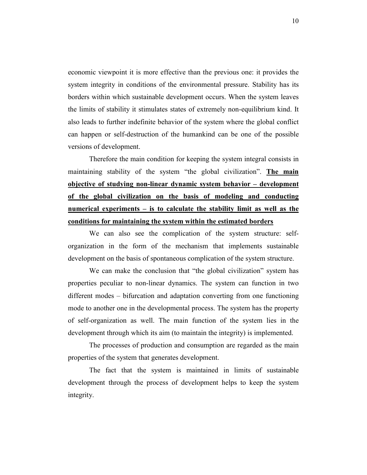economic viewpoint it is more effective than the previous one: it provides the system integrity in conditions of the environmental pressure. Stability has its borders within which sustainable development occurs. When the system leaves the limits of stability it stimulates states of extremely non-equilibrium kind. It also leads to further indefinite behavior of the system where the global conflict can happen or self-destruction of the humankind can be one of the possible versions of development.

Therefore the main condition for keeping the system integral consists in maintaining stability of the system "the global civilization". **The main objective of studying non-linear dynamic system behavior – development of the global civilization on the basis of modeling and conducting numerical experiments – is to calculate the stability limit as well as the conditions for maintaining the system within the estimated borders**

We can also see the complication of the system structure: selforganization in the form of the mechanism that implements sustainable development on the basis of spontaneous complication of the system structure.

We can make the conclusion that "the global civilization" system has properties peculiar to non-linear dynamics. The system can function in two different modes – bifurcation and adaptation converting from one functioning mode to another one in the developmental process. The system has the property of self-organization as well. The main function of the system lies in the development through which its aim (to maintain the integrity) is implemented.

The processes of production and consumption are regarded as the main properties of the system that generates development.

The fact that the system is maintained in limits of sustainable development through the process of development helps to keep the system integrity.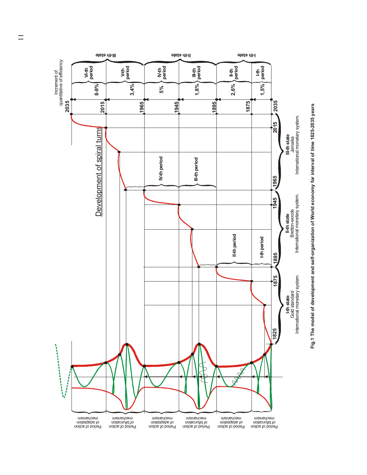

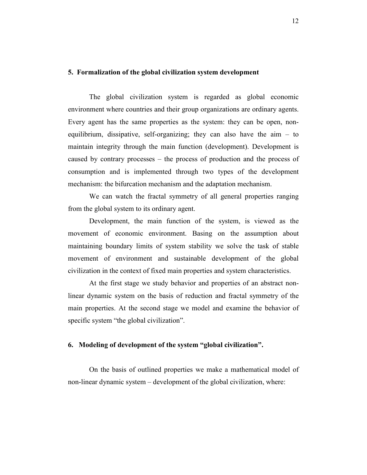### **5. Formalization of the global civilization system development**

The global civilization system is regarded as global economic environment where countries and their group organizations are ordinary agents. Every agent has the same properties as the system: they can be open, nonequilibrium, dissipative, self-organizing; they can also have the aim – to maintain integrity through the main function (development). Development is caused by contrary processes – the process of production and the process of consumption and is implemented through two types of the development mechanism: the bifurcation mechanism and the adaptation mechanism.

We can watch the fractal symmetry of all general properties ranging from the global system to its ordinary agent.

Development, the main function of the system, is viewed as the movement of economic environment. Basing on the assumption about maintaining boundary limits of system stability we solve the task of stable movement of environment and sustainable development of the global civilization in the context of fixed main properties and system characteristics.

At the first stage we study behavior and properties of an abstract nonlinear dynamic system on the basis of reduction and fractal symmetry of the main properties. At the second stage we model and examine the behavior of specific system "the global civilization".

#### **6. Modeling of development of the system "global civilization".**

On the basis of outlined properties we make a mathematical model of non-linear dynamic system – development of the global civilization, where: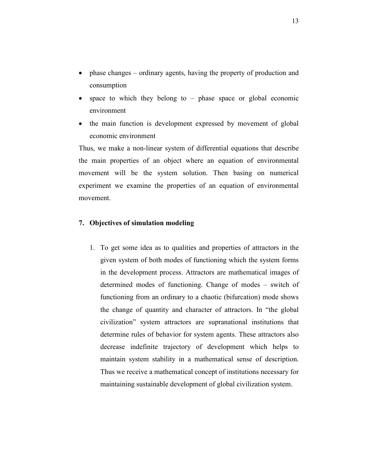- phase changes ordinary agents, having the property of production and consumption
- space to which they belong to phase space or global economic environment
- the main function is development expressed by movement of global economic environment

Thus, we make a non-linear system of differential equations that describe the main properties of an object where an equation of environmental movement will be the system solution. Then basing on numerical experiment we examine the properties of an equation of environmental movement.

## **7. Objectives of simulation modeling**

1. To get some idea as to qualities and properties of attractors in the given system of both modes of functioning which the system forms in the development process. Attractors are mathematical images of determined modes of functioning. Change of modes – switch of functioning from an ordinary to a chaotic (bifurcation) mode shows the change of quantity and character of attractors. In "the global civilization" system attractors are supranational institutions that determine rules of behavior for system agents. These attractors also decrease indefinite trajectory of development which helps to maintain system stability in a mathematical sense of description. Thus we receive a mathematical concept of institutions necessary for maintaining sustainable development of global civilization system.